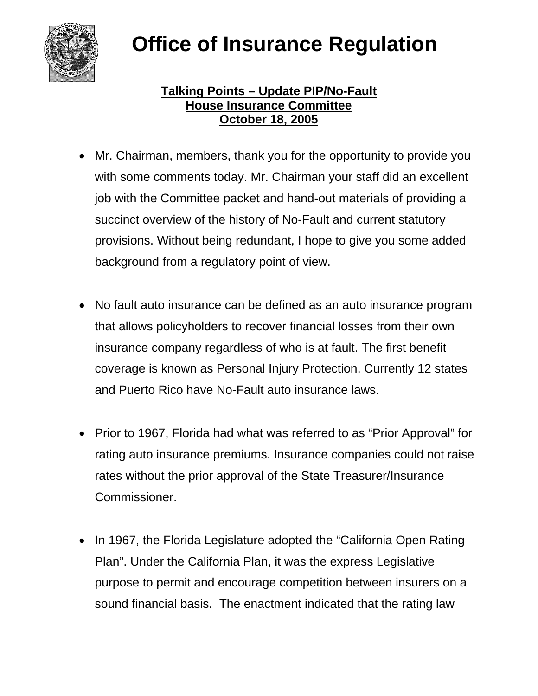

## **Office of Insurance Regulation**

## **Talking Points – Update PIP/No-Fault House Insurance Committee October 18, 2005**

- Mr. Chairman, members, thank you for the opportunity to provide you with some comments today. Mr. Chairman your staff did an excellent job with the Committee packet and hand-out materials of providing a succinct overview of the history of No-Fault and current statutory provisions. Without being redundant, I hope to give you some added background from a regulatory point of view.
- No fault auto insurance can be defined as an auto insurance program that allows policyholders to recover financial losses from their own insurance company regardless of who is at fault. The first benefit coverage is known as Personal Injury Protection. Currently 12 states and Puerto Rico have No-Fault auto insurance laws.
- Prior to 1967, Florida had what was referred to as "Prior Approval" for rating auto insurance premiums. Insurance companies could not raise rates without the prior approval of the State Treasurer/Insurance Commissioner.
- In 1967, the Florida Legislature adopted the "California Open Rating Plan". Under the California Plan, it was the express Legislative purpose to permit and encourage competition between insurers on a sound financial basis. The enactment indicated that the rating law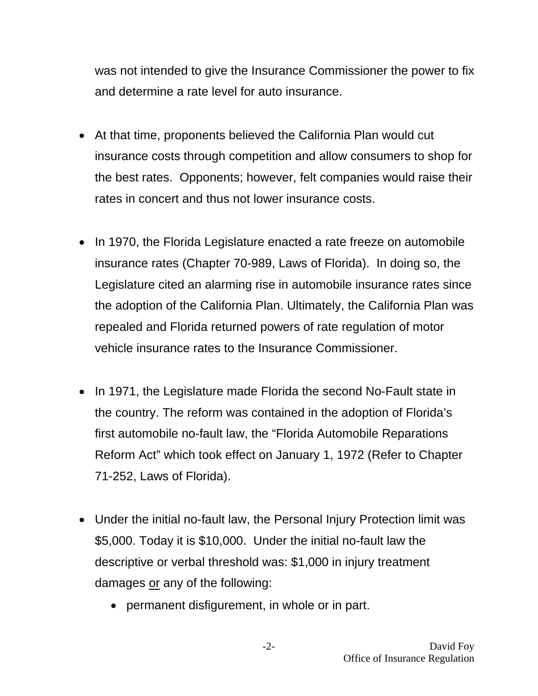was not intended to give the Insurance Commissioner the power to fix and determine a rate level for auto insurance.

- At that time, proponents believed the California Plan would cut insurance costs through competition and allow consumers to shop for the best rates. Opponents; however, felt companies would raise their rates in concert and thus not lower insurance costs.
- In 1970, the Florida Legislature enacted a rate freeze on automobile insurance rates (Chapter 70-989, Laws of Florida). In doing so, the Legislature cited an alarming rise in automobile insurance rates since the adoption of the California Plan. Ultimately, the California Plan was repealed and Florida returned powers of rate regulation of motor vehicle insurance rates to the Insurance Commissioner.
- In 1971, the Legislature made Florida the second No-Fault state in the country. The reform was contained in the adoption of Florida's first automobile no-fault law, the "Florida Automobile Reparations Reform Act" which took effect on January 1, 1972 (Refer to Chapter 71-252, Laws of Florida).
- Under the initial no-fault law, the Personal Injury Protection limit was \$5,000. Today it is \$10,000. Under the initial no-fault law the descriptive or verbal threshold was: \$1,000 in injury treatment damages or any of the following:
	- permanent disfigurement, in whole or in part.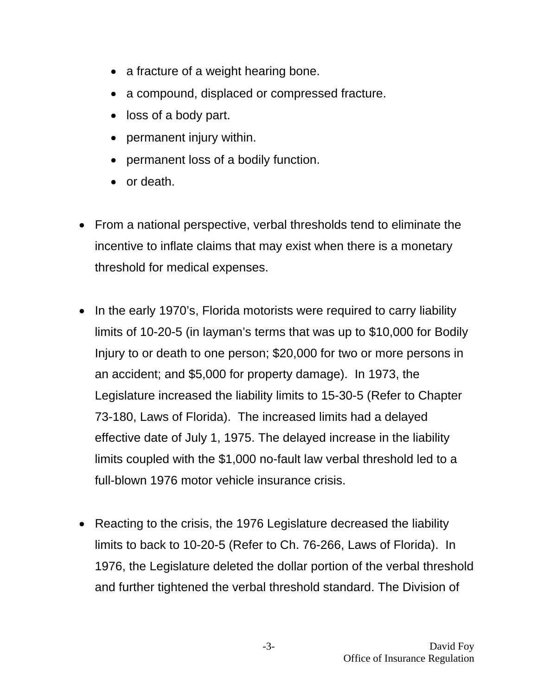- a fracture of a weight hearing bone.
- a compound, displaced or compressed fracture.
- loss of a body part.
- permanent injury within.
- permanent loss of a bodily function.
- or death.
- From a national perspective, verbal thresholds tend to eliminate the incentive to inflate claims that may exist when there is a monetary threshold for medical expenses.
- In the early 1970's, Florida motorists were required to carry liability limits of 10-20-5 (in layman's terms that was up to \$10,000 for Bodily Injury to or death to one person; \$20,000 for two or more persons in an accident; and \$5,000 for property damage). In 1973, the Legislature increased the liability limits to 15-30-5 (Refer to Chapter 73-180, Laws of Florida). The increased limits had a delayed effective date of July 1, 1975. The delayed increase in the liability limits coupled with the \$1,000 no-fault law verbal threshold led to a full-blown 1976 motor vehicle insurance crisis.
- Reacting to the crisis, the 1976 Legislature decreased the liability limits to back to 10-20-5 (Refer to Ch. 76-266, Laws of Florida). In 1976, the Legislature deleted the dollar portion of the verbal threshold and further tightened the verbal threshold standard. The Division of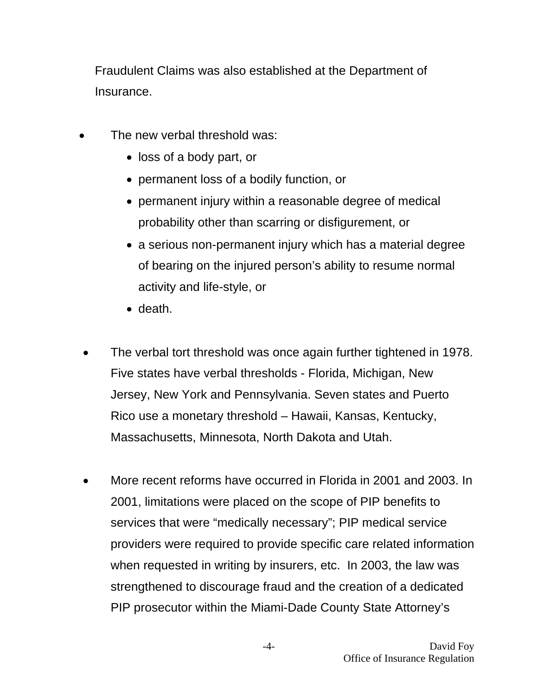Fraudulent Claims was also established at the Department of Insurance.

- The new verbal threshold was:
	- loss of a body part, or
	- permanent loss of a bodily function, or
	- permanent injury within a reasonable degree of medical probability other than scarring or disfigurement, or
	- a serious non-permanent injury which has a material degree of bearing on the injured person's ability to resume normal activity and life-style, or
	- death.
- The verbal tort threshold was once again further tightened in 1978. Five states have verbal thresholds - Florida, Michigan, New Jersey, New York and Pennsylvania. Seven states and Puerto Rico use a monetary threshold – Hawaii, Kansas, Kentucky, Massachusetts, Minnesota, North Dakota and Utah.
- More recent reforms have occurred in Florida in 2001 and 2003. In 2001, limitations were placed on the scope of PIP benefits to services that were "medically necessary"; PIP medical service providers were required to provide specific care related information when requested in writing by insurers, etc. In 2003, the law was strengthened to discourage fraud and the creation of a dedicated PIP prosecutor within the Miami-Dade County State Attorney's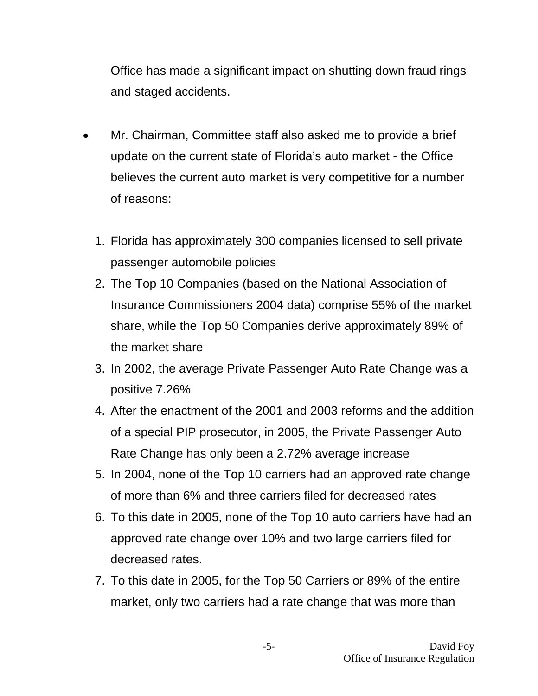Office has made a significant impact on shutting down fraud rings and staged accidents.

- Mr. Chairman, Committee staff also asked me to provide a brief update on the current state of Florida's auto market - the Office believes the current auto market is very competitive for a number of reasons:
	- 1. Florida has approximately 300 companies licensed to sell private passenger automobile policies
	- 2. The Top 10 Companies (based on the National Association of Insurance Commissioners 2004 data) comprise 55% of the market share, while the Top 50 Companies derive approximately 89% of the market share
	- 3. In 2002, the average Private Passenger Auto Rate Change was a positive 7.26%
	- 4. After the enactment of the 2001 and 2003 reforms and the addition of a special PIP prosecutor, in 2005, the Private Passenger Auto Rate Change has only been a 2.72% average increase
	- 5. In 2004, none of the Top 10 carriers had an approved rate change of more than 6% and three carriers filed for decreased rates
	- 6. To this date in 2005, none of the Top 10 auto carriers have had an approved rate change over 10% and two large carriers filed for decreased rates.
	- 7. To this date in 2005, for the Top 50 Carriers or 89% of the entire market, only two carriers had a rate change that was more than